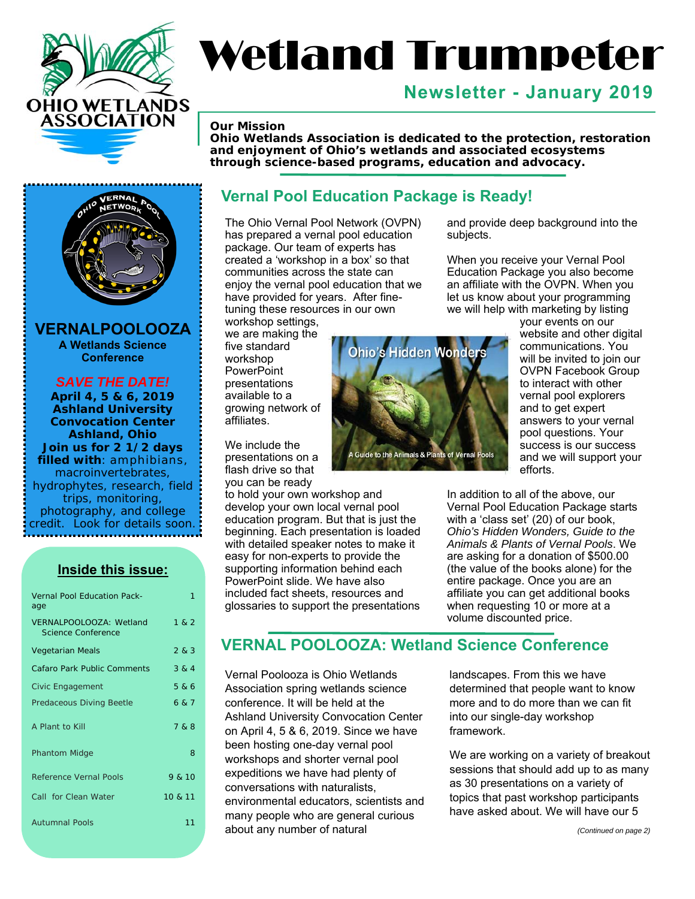

# Wetland Trumpeter

# **Newsletter - January 2019**

#### *Our Mission*

*Ohio Wetlands Association is dedicated to the protection, restoration and enjoyment of Ohio's wetlands and associated ecosystems through science-based programs, education and advocacy.* 

# ERNAI

**VERNALPOOLOOZA A Wetlands Science Conference** 

*SAVE THE DATE!* **April 4, 5 & 6, 2019 Ashland University Convocation Center Ashland, Ohio Join us for 2 1/2 days filled with**: amphibians, macroinvertebrates, hydrophytes, research, field trips, monitoring, photography, and college credit. Look for details soon.

**Inside this issue:** 

| <b>Vernal Pool Education Pack-</b><br>age     | 1       |
|-----------------------------------------------|---------|
| VERNALPOOLOOZA: Wetland<br>Science Conference | 1 & 2   |
| <b>Vegetarian Meals</b>                       | 283     |
| <b>Cafaro Park Public Comments</b>            | 3 & 4   |
| Civic Engagement                              | 5 & 6   |
| Predaceous Diving Beetle                      | 6 & 7   |
| A Plant to Kill                               | 7 & 8   |
| <b>Phantom Midge</b>                          | 8       |
| <b>Reference Vernal Pools</b>                 | 9 & 10  |
| Call for Clean Water                          | 10 & 11 |
| <b>Autumnal Pools</b>                         | 11      |

#### **Vernal Pool Education Package is Ready!**

The Ohio Vernal Pool Network (OVPN) has prepared a vernal pool education package. Our team of experts has created a 'workshop in a box' so that communities across the state can enjoy the vernal pool education that we have provided for years. After finetuning these resources in our own

workshop settings, we are making the five standard workshop **PowerPoint** presentations available to a growing network of affiliates.

We include the presentations on a flash drive so that you can be ready

to hold your own workshop and develop your own local vernal pool education program. But that is just the beginning. Each presentation is loaded with detailed speaker notes to make it easy for non-experts to provide the supporting information behind each PowerPoint slide. We have also included fact sheets, resources and glossaries to support the presentations



and provide deep background into the subjects.

When you receive your Vernal Pool Education Package you also become an affiliate with the OVPN. When you let us know about your programming we will help with marketing by listing

> your events on our website and other digital communications. You will be invited to join our OVPN Facebook Group to interact with other vernal pool explorers and to get expert answers to your vernal pool questions. Your success is our success and we will support your efforts.

In addition to all of the above, our Vernal Pool Education Package starts with a 'class set' (20) of our book, *Ohio's Hidden Wonders, Guide to the Animals & Plants of Vernal Pools*. We are asking for a donation of \$500.00 (the value of the books alone) for the entire package. Once you are an affiliate you can get additional books when requesting 10 or more at a volume discounted price.

#### **VERNAL POOLOOZA: Wetland Science Conference**

Vernal Poolooza is Ohio Wetlands Association spring wetlands science conference. It will be held at the Ashland University Convocation Center on April 4, 5 & 6, 2019. Since we have been hosting one-day vernal pool workshops and shorter vernal pool expeditions we have had plenty of conversations with naturalists, environmental educators, scientists and many people who are general curious about any number of natural

landscapes. From this we have determined that people want to know more and to do more than we can fit into our single-day workshop framework.

We are working on a variety of breakout sessions that should add up to as many as 30 presentations on a variety of topics that past workshop participants have asked about. We will have our 5

*(Continued on page 2)*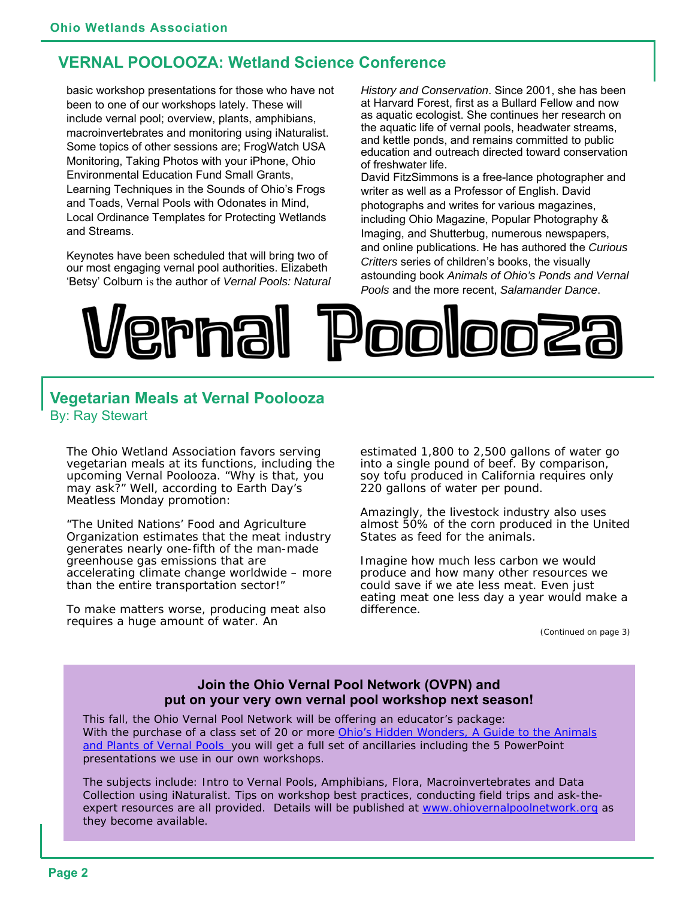#### **VERNAL POOLOOZA: Wetland Science Conference**

basic workshop presentations for those who have not been to one of our workshops lately. These will include vernal pool; overview, plants, amphibians, macroinvertebrates and monitoring using iNaturalist. Some topics of other sessions are; FrogWatch USA Monitoring, Taking Photos with your iPhone, Ohio Environmental Education Fund Small Grants, Learning Techniques in the Sounds of Ohio's Frogs and Toads, Vernal Pools with Odonates in Mind, Local Ordinance Templates for Protecting Wetlands and Streams.

Keynotes have been scheduled that will bring two of our most engaging vernal pool authorities. Elizabeth 'Betsy' Colburn is the author of *Vernal Pools: Natural*  *History and Conservation*. Since 2001, she has been at Harvard Forest, first as a Bullard Fellow and now as aquatic ecologist. She continues her research on the aquatic life of vernal pools, headwater streams, and kettle ponds, and remains committed to public education and outreach directed toward conservation of freshwater life.

David FitzSimmons is a free-lance photographer and writer as well as a Professor of English. David photographs and writes for various magazines, including Ohio Magazine, Popular Photography & Imaging, and Shutterbug, numerous newspapers, and online publications. He has authored the *Curious Critters* series of children's books, the visually astounding book *Animals of Ohio's Ponds and Vernal Pools* and the more recent, *Salamander Dance*.



#### **Vegetarian Meals at Vernal Poolooza**  By: Ray Stewart

The Ohio Wetland Association favors serving vegetarian meals at its functions, including the upcoming Vernal Poolooza. "Why is that, you may ask?" Well, according to Earth Day's Meatless Monday promotion:

"The United Nations' Food and Agriculture Organization estimates that the meat industry generates nearly one-fifth of the man-made greenhouse gas emissions that are accelerating climate change worldwide – more than the entire transportation sector!"

To make matters worse, producing meat also requires a huge amount of water. An

estimated 1,800 to 2,500 gallons of water go into a single pound of beef. By comparison, soy tofu produced in California requires only 220 gallons of water per pound.

Amazingly, the livestock industry also uses almost 50% of the corn produced in the United States as feed for the animals.

Imagine how much less carbon we would produce and how many other resources we could save if we ate less meat. Even just eating meat one less day a year would make a difference.

*(Continued on page 3)* 

#### **Join the Ohio Vernal Pool Network (OVPN) and put on your very own vernal pool workshop next season!**

This fall, the Ohio Vernal Pool Network will be offering an educator's package: With the purchase of a class set of 20 or more *Ohio's Hidden Wonders, A Guide to the Animals and Plants of Vernal Pools* you will get a full set of ancillaries including the 5 PowerPoint presentations we use in our own workshops.

The subjects include: Intro to Vernal Pools, Amphibians, Flora, Macroinvertebrates and Data Collection using iNaturalist. Tips on workshop best practices, conducting field trips and ask-theexpert resources are all provided. Details will be published at www.ohiovernalpoolnetwork.org as they become available.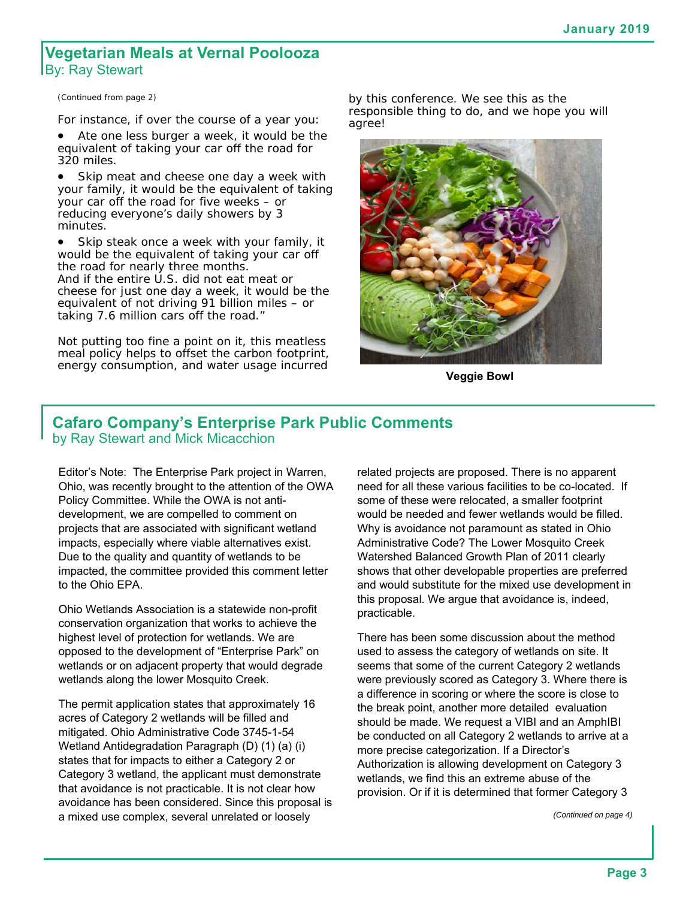#### **Vegetarian Meals at Vernal Poolooza**  By: Ray Stewart

*(Continued from page 2)* 

For instance, if over the course of a year you:

• Ate one less burger a week, it would be the equivalent of taking your car off the road for 320 miles.

• Skip meat and cheese one day a week with your family, it would be the equivalent of taking your car off the road for five weeks – or reducing everyone's daily showers by 3 minutes.

 Skip steak once a week with your family, it would be the equivalent of taking your car off the road for nearly three months. And if the entire U.S. did not eat meat or cheese for just one day a week, it would be the equivalent of not driving 91 billion miles – or taking 7.6 million cars off the road."

Not putting too fine a point on it, this meatless meal policy helps to offset the carbon footprint, energy consumption, and water usage incurred by this conference. We see this as the responsible thing to do, and we hope you will agree!



**Veggie Bowl** 

#### **Cafaro Company's Enterprise Park Public Comments**  by Ray Stewart and Mick Micacchion

Editor's Note: The Enterprise Park project in Warren, Ohio, was recently brought to the attention of the OWA Policy Committee. While the OWA is not antidevelopment, we are compelled to comment on projects that are associated with significant wetland impacts, especially where viable alternatives exist. Due to the quality and quantity of wetlands to be impacted, the committee provided this comment letter to the Ohio EPA.

Ohio Wetlands Association is a statewide non-profit conservation organization that works to achieve the highest level of protection for wetlands. We are opposed to the development of "Enterprise Park" on wetlands or on adjacent property that would degrade wetlands along the lower Mosquito Creek.

The permit application states that approximately 16 acres of Category 2 wetlands will be filled and mitigated. Ohio Administrative Code 3745-1-54 Wetland Antidegradation Paragraph (D) (1) (a) (i) states that for impacts to either a Category 2 or Category 3 wetland, the applicant must demonstrate that avoidance is not practicable. It is not clear how avoidance has been considered. Since this proposal is a mixed use complex, several unrelated or loosely

related projects are proposed. There is no apparent need for all these various facilities to be co-located. If some of these were relocated, a smaller footprint would be needed and fewer wetlands would be filled. Why is avoidance not paramount as stated in Ohio Administrative Code? The Lower Mosquito Creek Watershed Balanced Growth Plan of 2011 clearly shows that other developable properties are preferred and would substitute for the mixed use development in this proposal. We argue that avoidance is, indeed, practicable.

There has been some discussion about the method used to assess the category of wetlands on site. It seems that some of the current Category 2 wetlands were previously scored as Category 3. Where there is a difference in scoring or where the score is close to the break point, another more detailed evaluation should be made. We request a VIBI and an AmphIBI be conducted on all Category 2 wetlands to arrive at a more precise categorization. If a Director's Authorization is allowing development on Category 3 wetlands, we find this an extreme abuse of the provision. Or if it is determined that former Category 3

*(Continued on page 4)*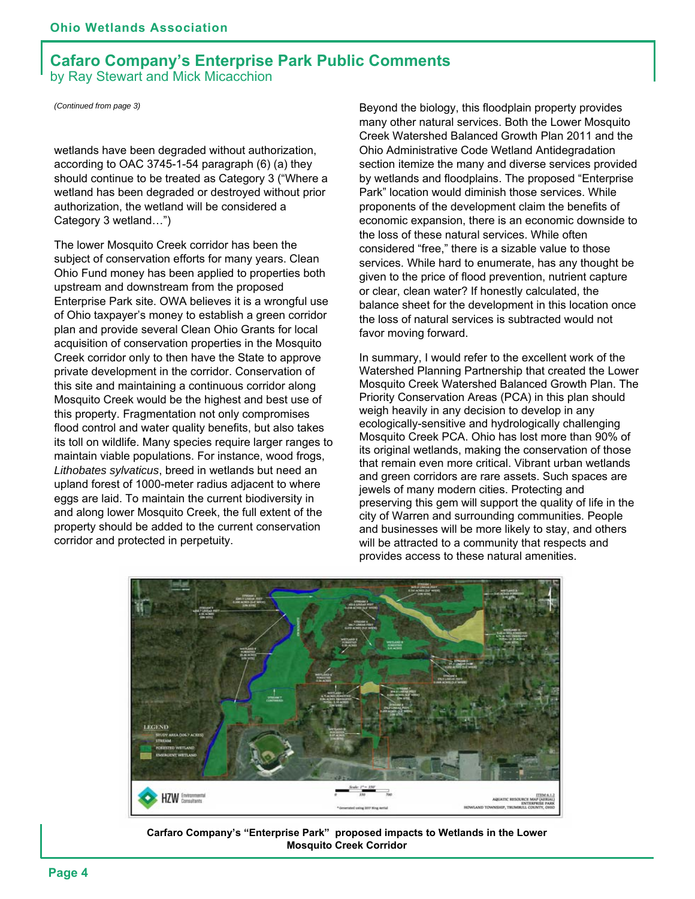#### **Cafaro Company's Enterprise Park Public Comments**  by Ray Stewart and Mick Micacchion

*(Continued from page 3)* 

wetlands have been degraded without authorization, according to OAC 3745-1-54 paragraph (6) (a) they should continue to be treated as Category 3 ("Where a wetland has been degraded or destroyed without prior authorization, the wetland will be considered a Category 3 wetland…")

The lower Mosquito Creek corridor has been the subject of conservation efforts for many years. Clean Ohio Fund money has been applied to properties both upstream and downstream from the proposed Enterprise Park site. OWA believes it is a wrongful use of Ohio taxpayer's money to establish a green corridor plan and provide several Clean Ohio Grants for local acquisition of conservation properties in the Mosquito Creek corridor only to then have the State to approve private development in the corridor. Conservation of this site and maintaining a continuous corridor along Mosquito Creek would be the highest and best use of this property. Fragmentation not only compromises flood control and water quality benefits, but also takes its toll on wildlife. Many species require larger ranges to maintain viable populations. For instance, wood frogs, *Lithobates sylvaticus*, breed in wetlands but need an upland forest of 1000-meter radius adjacent to where eggs are laid. To maintain the current biodiversity in and along lower Mosquito Creek, the full extent of the property should be added to the current conservation corridor and protected in perpetuity.

Beyond the biology, this floodplain property provides many other natural services. Both the Lower Mosquito Creek Watershed Balanced Growth Plan 2011 and the Ohio Administrative Code Wetland Antidegradation section itemize the many and diverse services provided by wetlands and floodplains. The proposed "Enterprise Park" location would diminish those services. While proponents of the development claim the benefits of economic expansion, there is an economic downside to the loss of these natural services. While often considered "free," there is a sizable value to those services. While hard to enumerate, has any thought be given to the price of flood prevention, nutrient capture or clear, clean water? If honestly calculated, the balance sheet for the development in this location once the loss of natural services is subtracted would not favor moving forward.

In summary, I would refer to the excellent work of the Watershed Planning Partnership that created the Lower Mosquito Creek Watershed Balanced Growth Plan. The Priority Conservation Areas (PCA) in this plan should weigh heavily in any decision to develop in any ecologically-sensitive and hydrologically challenging Mosquito Creek PCA. Ohio has lost more than 90% of its original wetlands, making the conservation of those that remain even more critical. Vibrant urban wetlands and green corridors are rare assets. Such spaces are jewels of many modern cities. Protecting and preserving this gem will support the quality of life in the city of Warren and surrounding communities. People and businesses will be more likely to stay, and others will be attracted to a community that respects and provides access to these natural amenities.



**Carfaro Company's "Enterprise Park" proposed impacts to Wetlands in the Lower Mosquito Creek Corridor**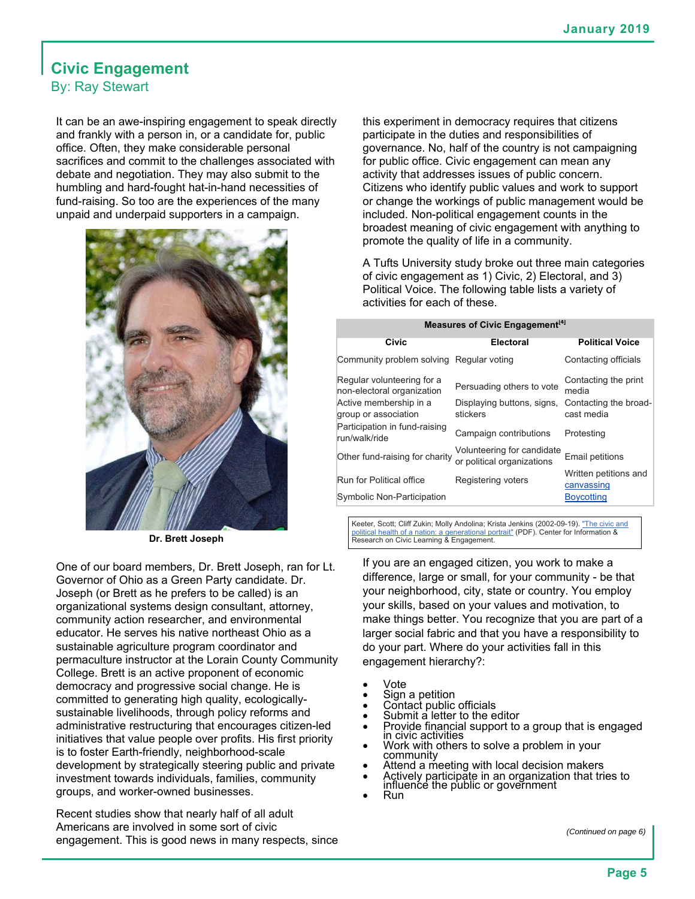#### **Civic Engagement**  By: Ray Stewart

It can be an awe-inspiring engagement to speak directly and frankly with a person in, or a candidate for, public office. Often, they make considerable personal sacrifices and commit to the challenges associated with debate and negotiation. They may also submit to the humbling and hard-fought hat-in-hand necessities of fund-raising. So too are the experiences of the many unpaid and underpaid supporters in a campaign.



**Dr. Brett Joseph** 

One of our board members, Dr. Brett Joseph, ran for Lt. Governor of Ohio as a Green Party candidate. Dr. Joseph (or Brett as he prefers to be called) is an organizational systems design consultant, attorney, community action researcher, and environmental educator. He serves his native northeast Ohio as a sustainable agriculture program coordinator and permaculture instructor at the Lorain County Community College. Brett is an active proponent of economic democracy and progressive social change. He is committed to generating high quality, ecologicallysustainable livelihoods, through policy reforms and administrative restructuring that encourages citizen-led initiatives that value people over profits. His first priority is to foster Earth-friendly, neighborhood-scale development by strategically steering public and private investment towards individuals, families, community groups, and worker-owned businesses.

Recent studies show that nearly half of all adult Americans are involved in some sort of civic engagement. This is good news in many respects, since

this experiment in democracy requires that citizens participate in the duties and responsibilities of governance. No, half of the country is not campaigning for public office. Civic engagement can mean any activity that addresses issues of public concern. Citizens who identify public values and work to support or change the workings of public management would be included. Non-political engagement counts in the broadest meaning of civic engagement with anything to promote the quality of life in a community.

A Tufts University study broke out three main categories of civic engagement as 1) Civic, 2) Electoral, and 3) Political Voice. The following table lists a variety of activities for each of these.

#### **Measures of Civic Engagement**<sup>[4]</sup>

| Civic                                                    | <b>Electoral</b>                                         | <b>Political Voice</b>              |
|----------------------------------------------------------|----------------------------------------------------------|-------------------------------------|
| Community problem solving Regular voting                 |                                                          | Contacting officials                |
| Regular volunteering for a<br>non-electoral organization | Persuading others to vote                                | Contacting the print<br>media       |
| Active membership in a<br>group or association           | Displaying buttons, signs,<br>stickers                   | Contacting the broad-<br>cast media |
| Participation in fund-raising<br>run/walk/ride           | Campaign contributions                                   | Protesting                          |
| Other fund-raising for charity                           | Volunteering for candidate<br>or political organizations | <b>Email petitions</b>              |
| Run for Political office                                 | Registering voters                                       | Written petitions and<br>canvassing |
| Symbolic Non-Participation                               |                                                          | <b>Boycotting</b>                   |
|                                                          |                                                          |                                     |

Keeter, Scott; Cliff Zukin; Molly Andolina; Krista Jenkins (2002-09-19). "The civic and political health of a nation: a generational portrait" (PDF). Center for Information & Research on Civic Learning & Engagement.

If you are an engaged citizen, you work to make a difference, large or small, for your community - be that your neighborhood, city, state or country. You employ your skills, based on your values and motivation, to make things better. You recognize that you are part of a larger social fabric and that you have a responsibility to do your part. Where do your activities fall in this engagement hierarchy?:

- Vote
- Sign a petition
- Contact public officials
- Submit a letter to the editor
- Provide financial support to a group that is engaged in civic activities
- Work with others to solve a problem in your community
- Attend a meeting with local decision makers
- Actively participate in an organization that tries to influence the public or government
- Run

*(Continued on page 6)*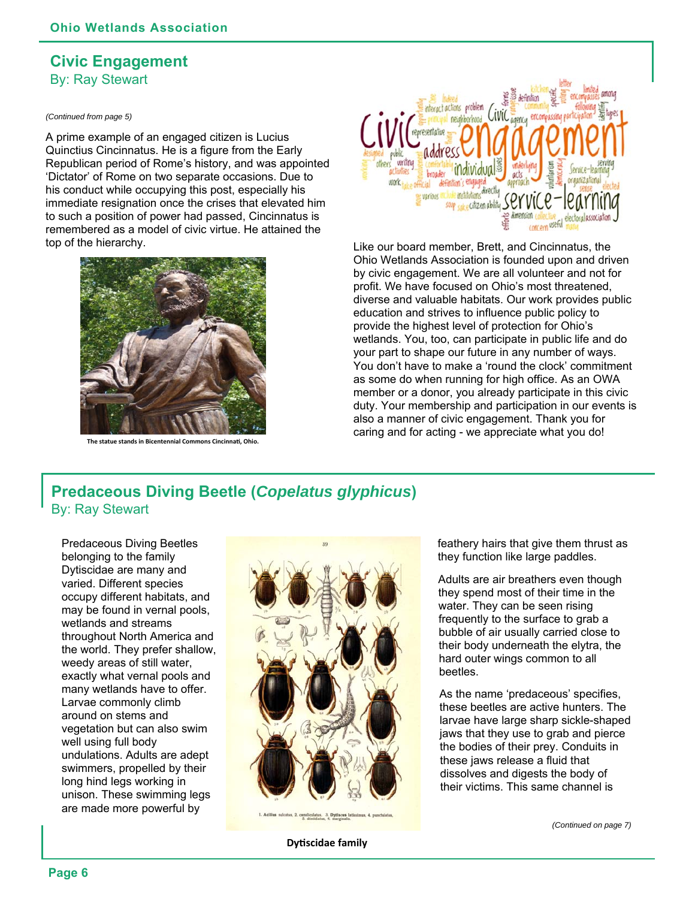#### **Civic Engagement**  By: Ray Stewart

#### *(Continued from page 5)*

A prime example of an engaged citizen is Lucius Quinctius Cincinnatus. He is a figure from the Early Republican period of Rome's history, and was appointed 'Dictator' of Rome on two separate occasions. Due to his conduct while occupying this post, especially his immediate resignation once the crises that elevated him to such a position of power had passed, Cincinnatus is remembered as a model of civic virtue. He attained the top of the hierarchy. Like our board member, Brett, and Cincinnatus, the



**The statue stands in Bicentennial Commons Cincinnati, Ohio.** 



Ohio Wetlands Association is founded upon and driven by civic engagement. We are all volunteer and not for profit. We have focused on Ohio's most threatened, diverse and valuable habitats. Our work provides public education and strives to influence public policy to provide the highest level of protection for Ohio's wetlands. You, too, can participate in public life and do your part to shape our future in any number of ways. You don't have to make a 'round the clock' commitment as some do when running for high office. As an OWA member or a donor, you already participate in this civic duty. Your membership and participation in our events is also a manner of civic engagement. Thank you for caring and for acting - we appreciate what you do!

#### **Predaceous Diving Beetle (***Copelatus glyphicus***)**  By: Ray Stewart

Predaceous Diving Beetles belonging to the family Dytiscidae are many and varied. Different species occupy different habitats, and may be found in vernal pools, wetlands and streams throughout North America and the world. They prefer shallow, weedy areas of still water, exactly what vernal pools and many wetlands have to offer. Larvae commonly climb around on stems and vegetation but can also swim well using full body undulations. Adults are adept swimmers, propelled by their long hind legs working in unison. These swimming legs are made more powerful by



feathery hairs that give them thrust as they function like large paddles.

Adults are air breathers even though they spend most of their time in the water. They can be seen rising frequently to the surface to grab a bubble of air usually carried close to their body underneath the elytra, the hard outer wings common to all beetles.

As the name 'predaceous' specifies, these beetles are active hunters. The larvae have large sharp sickle-shaped jaws that they use to grab and pierce the bodies of their prey. Conduits in these jaws release a fluid that dissolves and digests the body of their victims. This same channel is

*(Continued on page 7)*

**DyƟscidae family**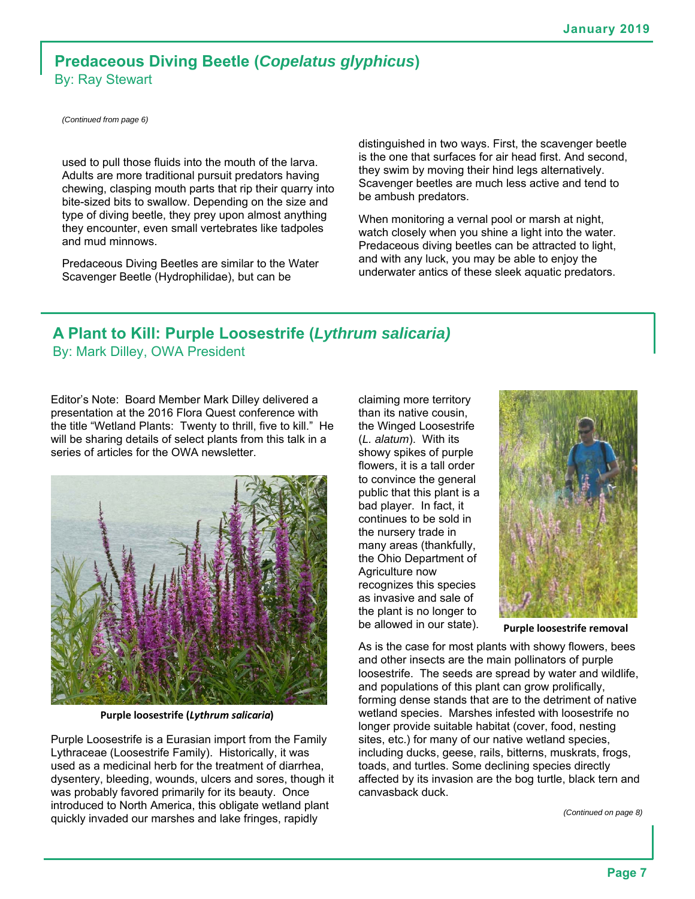#### **Predaceous Diving Beetle (***Copelatus glyphicus***)**  By: Ray Stewart

*(Continued from page 6)*

used to pull those fluids into the mouth of the larva. Adults are more traditional pursuit predators having chewing, clasping mouth parts that rip their quarry into bite-sized bits to swallow. Depending on the size and type of diving beetle, they prey upon almost anything they encounter, even small vertebrates like tadpoles and mud minnows.

Predaceous Diving Beetles are similar to the Water Scavenger Beetle (Hydrophilidae), but can be

distinguished in two ways. First, the scavenger beetle is the one that surfaces for air head first. And second, they swim by moving their hind legs alternatively. Scavenger beetles are much less active and tend to be ambush predators.

When monitoring a vernal pool or marsh at night, watch closely when you shine a light into the water. Predaceous diving beetles can be attracted to light, and with any luck, you may be able to enjoy the underwater antics of these sleek aquatic predators.

# **A Plant to Kill: Purple Loosestrife (***Lythrum salicaria)*

By: Mark Dilley, OWA President

Editor's Note: Board Member Mark Dilley delivered a presentation at the 2016 Flora Quest conference with the title "Wetland Plants: Twenty to thrill, five to kill." He will be sharing details of select plants from this talk in a series of articles for the OWA newsletter.



**Purple loosestrife (***Lythrum salicaria***)** 

Purple Loosestrife is a Eurasian import from the Family Lythraceae (Loosestrife Family). Historically, it was used as a medicinal herb for the treatment of diarrhea, dysentery, bleeding, wounds, ulcers and sores, though it was probably favored primarily for its beauty. Once introduced to North America, this obligate wetland plant quickly invaded our marshes and lake fringes, rapidly

claiming more territory than its native cousin, the Winged Loosestrife (*L. alatum*). With its showy spikes of purple flowers, it is a tall order to convince the general public that this plant is a bad player. In fact, it continues to be sold in the nursery trade in many areas (thankfully, the Ohio Department of Agriculture now recognizes this species as invasive and sale of the plant is no longer to be allowed in our state).



**Purple loosestrife removal** 

As is the case for most plants with showy flowers, bees and other insects are the main pollinators of purple loosestrife. The seeds are spread by water and wildlife, and populations of this plant can grow prolifically, forming dense stands that are to the detriment of native wetland species. Marshes infested with loosestrife no longer provide suitable habitat (cover, food, nesting sites, etc.) for many of our native wetland species, including ducks, geese, rails, bitterns, muskrats, frogs, toads, and turtles. Some declining species directly affected by its invasion are the bog turtle, black tern and canvasback duck.

*(Continued on page 8)*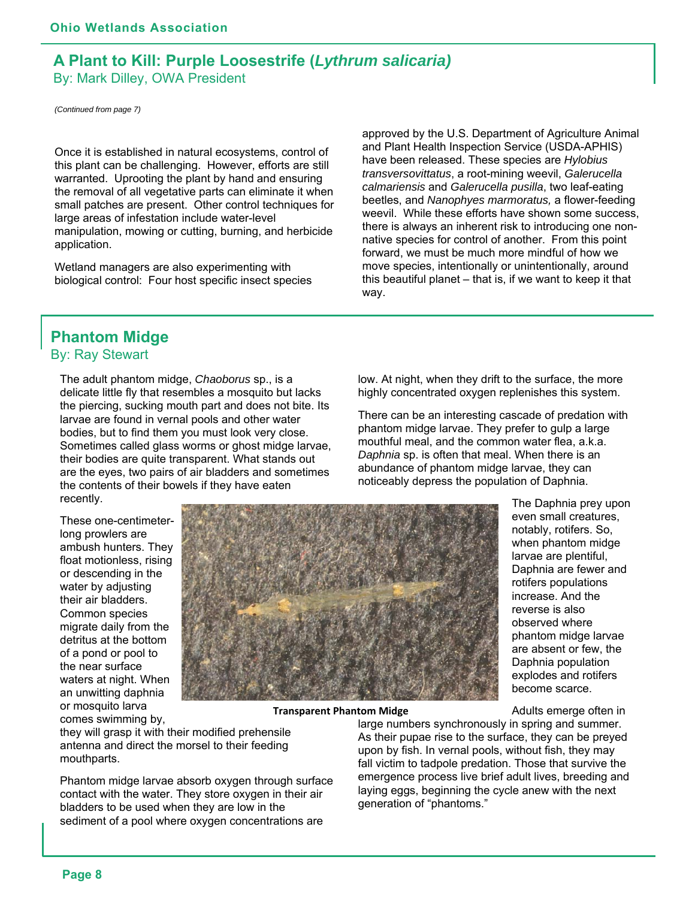#### **A Plant to Kill: Purple Loosestrife (***Lythrum salicaria)*  By: Mark Dilley, OWA President

*(Continued from page 7)* 

Once it is established in natural ecosystems, control of this plant can be challenging. However, efforts are still warranted. Uprooting the plant by hand and ensuring the removal of all vegetative parts can eliminate it when small patches are present. Other control techniques for large areas of infestation include water-level manipulation, mowing or cutting, burning, and herbicide application.

Wetland managers are also experimenting with biological control: Four host specific insect species approved by the U.S. Department of Agriculture Animal and Plant Health Inspection Service (USDA-APHIS) have been released. These species are *Hylobius transversovittatus*, a root-mining weevil, *Galerucella calmariensis* and *Galerucella pusilla*, two leaf-eating beetles, and *Nanophyes marmoratus,* a flower-feeding weevil. While these efforts have shown some success, there is always an inherent risk to introducing one nonnative species for control of another. From this point forward, we must be much more mindful of how we move species, intentionally or unintentionally, around this beautiful planet – that is, if we want to keep it that way.

## **Phantom Midge**

By: Ray Stewart

The adult phantom midge, *Chaoborus* sp., is a delicate little fly that resembles a mosquito but lacks the piercing, sucking mouth part and does not bite. Its larvae are found in vernal pools and other water bodies, but to find them you must look very close. Sometimes called glass worms or ghost midge larvae, their bodies are quite transparent. What stands out are the eyes, two pairs of air bladders and sometimes the contents of their bowels if they have eaten recently.

These one-centimeterlong prowlers are ambush hunters. They float motionless, rising or descending in the water by adjusting their air bladders. Common species migrate daily from the detritus at the bottom of a pond or pool to the near surface waters at night. When an unwitting daphnia or mosquito larva comes swimming by,



**Transparent Phantom Midge** 

they will grasp it with their modified prehensile antenna and direct the morsel to their feeding mouthparts.

Phantom midge larvae absorb oxygen through surface contact with the water. They store oxygen in their air bladders to be used when they are low in the sediment of a pool where oxygen concentrations are

low. At night, when they drift to the surface, the more highly concentrated oxygen replenishes this system.

There can be an interesting cascade of predation with phantom midge larvae. They prefer to gulp a large mouthful meal, and the common water flea, a.k.a. *Daphnia* sp. is often that meal. When there is an abundance of phantom midge larvae, they can noticeably depress the population of Daphnia.

> The Daphnia prey upon even small creatures, notably, rotifers. So, when phantom midge larvae are plentiful, Daphnia are fewer and rotifers populations increase. And the reverse is also observed where phantom midge larvae are absent or few, the Daphnia population explodes and rotifers become scarce.

Adults emerge often in

large numbers synchronously in spring and summer. As their pupae rise to the surface, they can be preyed upon by fish. In vernal pools, without fish, they may fall victim to tadpole predation. Those that survive the emergence process live brief adult lives, breeding and laying eggs, beginning the cycle anew with the next generation of "phantoms."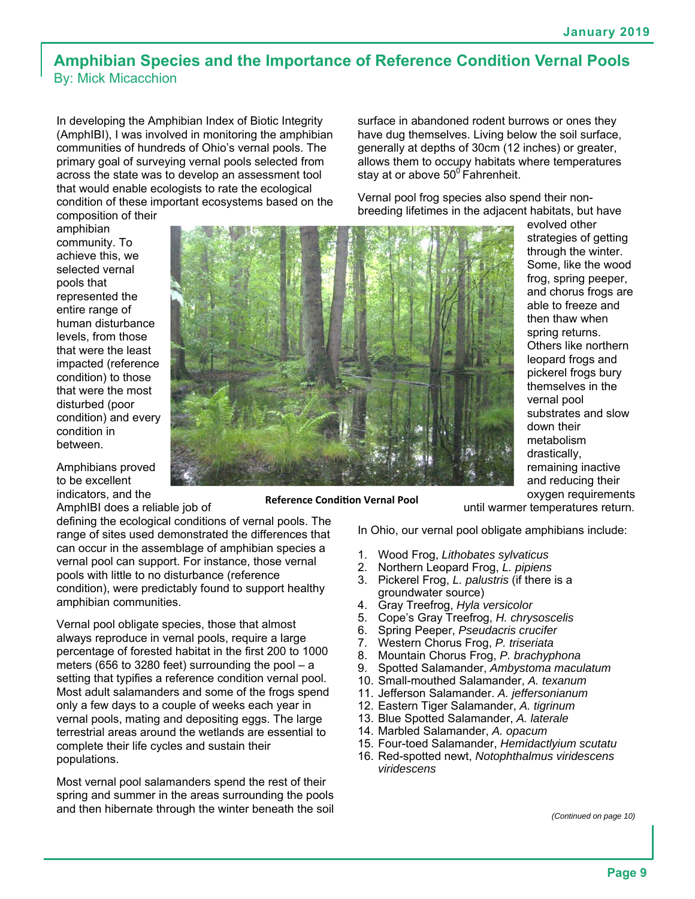#### **Amphibian Species and the Importance of Reference Condition Vernal Pools**  By: Mick Micacchion

In developing the Amphibian Index of Biotic Integrity (AmphIBI), I was involved in monitoring the amphibian communities of hundreds of Ohio's vernal pools. The primary goal of surveying vernal pools selected from across the state was to develop an assessment tool that would enable ecologists to rate the ecological condition of these important ecosystems based on the

composition of their amphibian community. To achieve this, we selected vernal pools that represented the entire range of human disturbance levels, from those that were the least impacted (reference condition) to those that were the most disturbed (poor condition) and every condition in between.

Amphibians proved to be excellent indicators, and the

AmphIBI does a reliable job of

defining the ecological conditions of vernal pools. The range of sites used demonstrated the differences that can occur in the assemblage of amphibian species a vernal pool can support. For instance, those vernal pools with little to no disturbance (reference condition), were predictably found to support healthy amphibian communities.

Vernal pool obligate species, those that almost always reproduce in vernal pools, require a large percentage of forested habitat in the first 200 to 1000 meters (656 to 3280 feet) surrounding the pool – a setting that typifies a reference condition vernal pool. Most adult salamanders and some of the frogs spend only a few days to a couple of weeks each year in vernal pools, mating and depositing eggs. The large terrestrial areas around the wetlands are essential to complete their life cycles and sustain their populations.

Most vernal pool salamanders spend the rest of their spring and summer in the areas surrounding the pools and then hibernate through the winter beneath the soil surface in abandoned rodent burrows or ones they have dug themselves. Living below the soil surface, generally at depths of 30cm (12 inches) or greater, allows them to occupy habitats where temperatures stay at or above  $50^\circ$  Fahrenheit.

Vernal pool frog species also spend their nonbreeding lifetimes in the adjacent habitats, but have



**Reference Condition Vernal Pool** 

evolved other strategies of getting through the winter. Some, like the wood frog, spring peeper, and chorus frogs are able to freeze and then thaw when spring returns. Others like northern leopard frogs and pickerel frogs bury themselves in the vernal pool substrates and slow down their metabolism drastically, remaining inactive and reducing their oxygen requirements

until warmer temperatures return.

In Ohio, our vernal pool obligate amphibians include:

- 1. Wood Frog, *Lithobates sylvaticus*
- 2. Northern Leopard Frog, *L. pipiens*
- 3. Pickerel Frog, *L. palustris* (if there is a groundwater source)
- 4. Gray Treefrog, *Hyla versicolor*
- 5. Cope's Gray Treefrog, *H. chrysoscelis*
- 6. Spring Peeper, *Pseudacris crucifer*
- 7. Western Chorus Frog, *P. triseriata*
- 8. Mountain Chorus Frog, *P. brachyphona*
- 9. Spotted Salamander, *Ambystoma maculatum*
- 10. Small-mouthed Salamander, *A. texanum*
- 11. Jefferson Salamander. *A. jeffersonianum*
- 12. Eastern Tiger Salamander, *A. tigrinum*
- 13. Blue Spotted Salamander, *A. laterale*
- 14. Marbled Salamander, *A. opacum*
- 15. Four-toed Salamander, *Hemidactlyium scutatu*
- 16. Red-spotted newt, *Notophthalmus viridescens viridescens*

*(Continued on page 10)*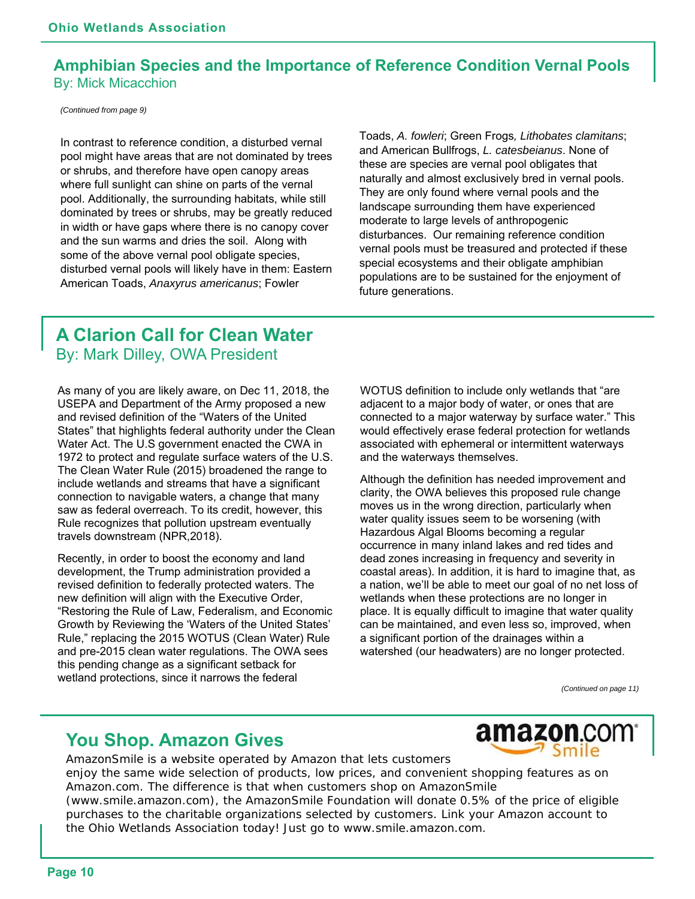#### **Amphibian Species and the Importance of Reference Condition Vernal Pools**  By: Mick Micacchion

*(Continued from page 9)* 

In contrast to reference condition, a disturbed vernal pool might have areas that are not dominated by trees or shrubs, and therefore have open canopy areas where full sunlight can shine on parts of the vernal pool. Additionally, the surrounding habitats, while still dominated by trees or shrubs, may be greatly reduced in width or have gaps where there is no canopy cover and the sun warms and dries the soil. Along with some of the above vernal pool obligate species, disturbed vernal pools will likely have in them: Eastern American Toads, *Anaxyrus americanus*; Fowler

Toads, *A. fowleri*; Green Frogs*, Lithobates clamitans*; and American Bullfrogs, *L. catesbeianus*. None of these are species are vernal pool obligates that naturally and almost exclusively bred in vernal pools. They are only found where vernal pools and the landscape surrounding them have experienced moderate to large levels of anthropogenic disturbances. Our remaining reference condition vernal pools must be treasured and protected if these special ecosystems and their obligate amphibian populations are to be sustained for the enjoyment of future generations.

#### **A Clarion Call for Clean Water**  By: Mark Dilley, OWA President

As many of you are likely aware, on Dec 11, 2018, the USEPA and Department of the Army proposed a new and revised definition of the "Waters of the United States" that highlights federal authority under the Clean Water Act. The U.S government enacted the CWA in 1972 to protect and regulate surface waters of the U.S. The Clean Water Rule (2015) broadened the range to include wetlands and streams that have a significant connection to navigable waters, a change that many saw as federal overreach. To its credit, however, this Rule recognizes that pollution upstream eventually travels downstream (NPR,2018).

Recently, in order to boost the economy and land development, the Trump administration provided a revised definition to federally protected waters. The new definition will align with the Executive Order, "Restoring the Rule of Law, Federalism, and Economic Growth by Reviewing the 'Waters of the United States' Rule," replacing the 2015 WOTUS (Clean Water) Rule and pre-2015 clean water regulations. The OWA sees this pending change as a significant setback for wetland protections, since it narrows the federal

WOTUS definition to include only wetlands that "are adjacent to a major body of water, or ones that are connected to a major waterway by surface water." This would effectively erase federal protection for wetlands associated with ephemeral or intermittent waterways and the waterways themselves.

Although the definition has needed improvement and clarity, the OWA believes this proposed rule change moves us in the wrong direction, particularly when water quality issues seem to be worsening (with Hazardous Algal Blooms becoming a regular occurrence in many inland lakes and red tides and dead zones increasing in frequency and severity in coastal areas). In addition, it is hard to imagine that, as a nation, we'll be able to meet our goal of no net loss of wetlands when these protections are no longer in place. It is equally difficult to imagine that water quality can be maintained, and even less so, improved, when a significant portion of the drainages within a watershed (our headwaters) are no longer protected.

*(Continued on page 11)*

### **You Shop. Amazon Gives**



AmazonSmile is a website operated by Amazon that lets customers enjoy the same wide selection of products, low prices, and convenient shopping features as on Amazon.com. The difference is that when customers shop on AmazonSmile (www.smile.amazon.com), the AmazonSmile Foundation will donate 0.5% of the price of eligible purchases to the charitable organizations selected by customers. Link your Amazon account to the Ohio Wetlands Association today! Just go to www.smile.amazon.com.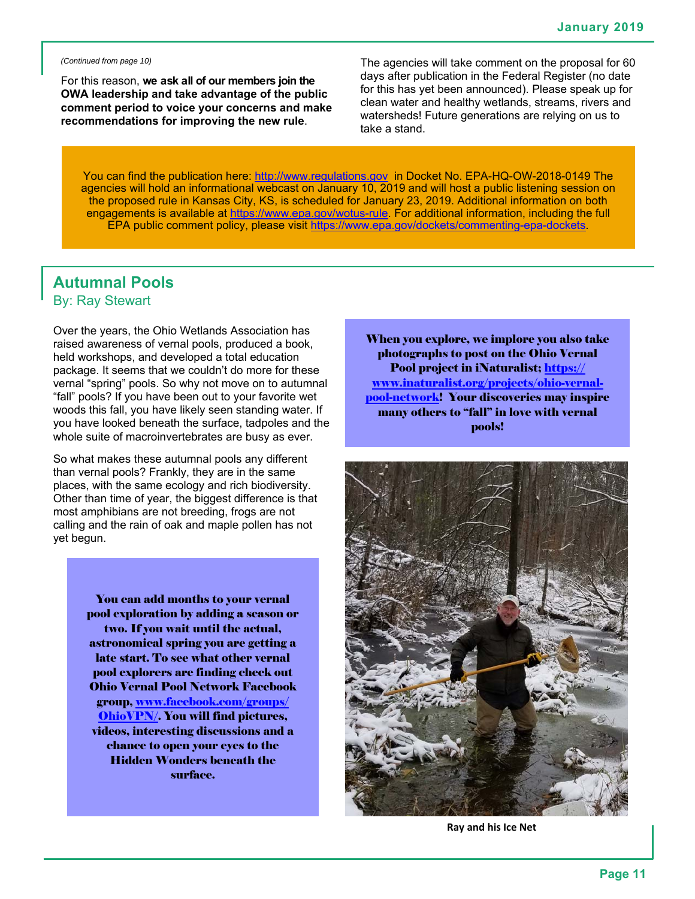*(Continued from page 10)* 

For this reason, **we ask all of our members join the OWA leadership and take advantage of the public comment period to voice your concerns and make recommendations for improving the new rule**.

The agencies will take comment on the proposal for 60 days after publication in the Federal Register (no date for this has yet been announced). Please speak up for clean water and healthy wetlands, streams, rivers and watersheds! Future generations are relying on us to take a stand.

You can find the publication here: http://www.regulations.gov in Docket No. EPA-HQ-OW-2018-0149 The agencies will hold an informational webcast on January 10, 2019 and will host a public listening session on the proposed rule in Kansas City, KS, is scheduled for January 23, 2019. Additional information on both engagements is available at https://www.epa.gov/wotus-rule. For additional information, including the full EPA public comment policy, please visit https://www.epa.gov/dockets/commenting-epa-dockets.

#### **Autumnal Pools**  By: Ray Stewart

Over the years, the Ohio Wetlands Association has raised awareness of vernal pools, produced a book, held workshops, and developed a total education package. It seems that we couldn't do more for these vernal "spring" pools. So why not move on to autumnal "fall" pools? If you have been out to your favorite wet woods this fall, you have likely seen standing water. If you have looked beneath the surface, tadpoles and the whole suite of macroinvertebrates are busy as ever.

So what makes these autumnal pools any different than vernal pools? Frankly, they are in the same places, with the same ecology and rich biodiversity. Other than time of year, the biggest difference is that most amphibians are not breeding, frogs are not calling and the rain of oak and maple pollen has not yet begun.

> You can add months to your vernal pool exploration by adding a season or two. If you wait until the actual, astronomical spring you are getting a late start. To see what other vernal pool explorers are finding check out Ohio Vernal Pool Network Facebook group, www.facebook.com/groups/ OhioVPN/. You will find pictures, videos, interesting discussions and a chance to open your eyes to the Hidden Wonders beneath the surface.

When you explore, we implore you also take photographs to post on the Ohio Vernal Pool project in iNaturalist; https:// www.inaturalist.org/projects/ohio-vernalpool-network! Your discoveries may inspire many others to "fall" in love with vernal pools!



**Ray and his Ice Net**